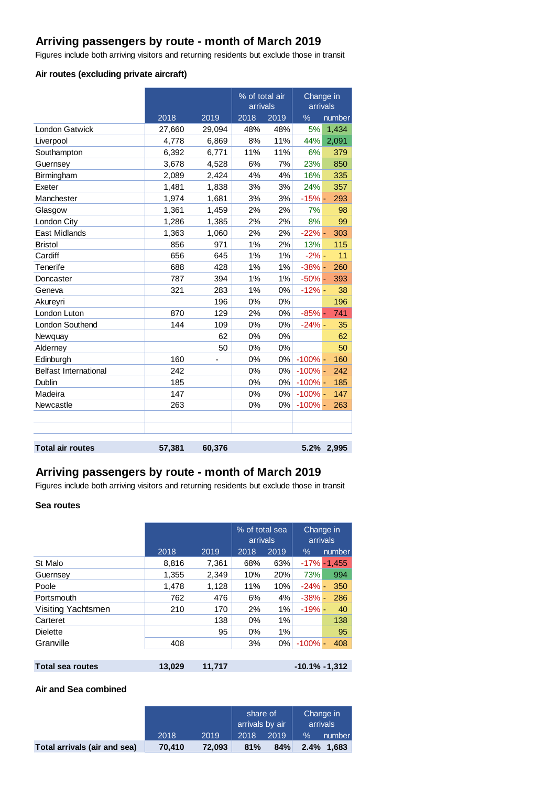# **Arriving passengers by route - month of March 2019**

Figures include both arriving visitors and returning residents but exclude those in transit

### **Air routes (excluding private aircraft)**

|                              |        |        | % of total air<br>arrivals |      | arrivals   | Change in |
|------------------------------|--------|--------|----------------------------|------|------------|-----------|
|                              | 2018   | 2019   | 2018                       | 2019 | %          | number    |
| <b>London Gatwick</b>        | 27,660 | 29,094 | 48%                        | 48%  | 5%         | 1,434     |
| Liverpool                    | 4,778  | 6,869  | 8%                         | 11%  | 44%        | 2,091     |
| Southampton                  | 6,392  | 6,771  | 11%                        | 11%  | 6%         | 379       |
| Guernsey                     | 3,678  | 4,528  | 6%                         | 7%   | 23%        | 850       |
| Birmingham                   | 2,089  | 2,424  | 4%                         | 4%   | 16%        | 335       |
| Exeter                       | 1,481  | 1,838  | 3%                         | 3%   | 24%        | 357       |
| Manchester                   | 1,974  | 1,681  | 3%                         | 3%   | $-15%$ -   | 293       |
| Glasgow                      | 1,361  | 1,459  | 2%                         | 2%   | 7%         | 98        |
| London City                  | 1,286  | 1,385  | 2%                         | 2%   | 8%         | 99        |
| <b>East Midlands</b>         | 1,363  | 1,060  | 2%                         | 2%   | $-22% -$   | 303       |
| <b>Bristol</b>               | 856    | 971    | 1%                         | 2%   | 13%        | 115       |
| Cardiff                      | 656    | 645    | 1%                         | 1%   | $-2\%$ -   | 11        |
| Tenerife                     | 688    | 428    | 1%                         | 1%   | $-38%$ -   | 260       |
| Doncaster                    | 787    | 394    | 1%                         | 1%   | $-50%$ -   | 393       |
| Geneva                       | 321    | 283    | 1%                         | 0%   | $-12% -$   | 38        |
| Akureyri                     |        | 196    | 0%                         | 0%   |            | 196       |
| London Luton                 | 870    | 129    | 2%                         | 0%   | $-85%$ -   | 741       |
| London Southend              | 144    | 109    | 0%                         | 0%   | $-24%$ -   | 35        |
| Newquay                      |        | 62     | 0%                         | 0%   |            | 62        |
| Alderney                     |        | 50     | 0%                         | 0%   |            | 50        |
| Edinburgh                    | 160    |        | 0%                         | 0%   | $-100%$ -  | 160       |
| <b>Belfast International</b> | 242    |        | 0%                         | 0%   | $-100%$ -  | 242       |
| Dublin                       | 185    |        | 0%                         | 0%   | $-100\%$ - | 185       |
| Madeira                      | 147    |        | 0%                         | 0%   | $-100%$ -  | 147       |
| Newcastle                    | 263    |        | 0%                         | 0%   | $-100\%$ - | 263       |
|                              |        |        |                            |      |            |           |
|                              |        |        |                            |      |            |           |
| <b>Total air routes</b>      | 57,381 | 60,376 |                            |      | 5.2%       | 2,995     |

# **Arriving passengers by route - month of March 2019**

Figures include both arriving visitors and returning residents but exclude those in transit

### **Sea routes**

|                    |       |       | % of total sea<br>arrivals |      | Change in<br>arrivals |                 |
|--------------------|-------|-------|----------------------------|------|-----------------------|-----------------|
|                    | 2018  | 2019  | 2018                       | 2019 | $\%$                  | number          |
| St Malo            | 8,816 | 7,361 | 68%                        | 63%  |                       | $-17\% - 1.455$ |
| Guernsey           | 1,355 | 2,349 | 10%                        | 20%  | 73%                   | 994             |
| Poole              | 1,478 | 1,128 | 11%                        | 10%  | $-24%$ -              | 350             |
| Portsmouth         | 762   | 476   | 6%                         | 4%   | $-38%$ -              | 286             |
| Visiting Yachtsmen | 210   | 170   | 2%                         | 1%   | $-19% -$              | 40              |
| Carteret           |       | 138   | $0\%$                      | 1%   |                       | 138             |
| <b>Dielette</b>    |       | 95    | $0\%$                      | 1%   |                       | 95              |
| Granville          | 408   |       | 3%                         | 0%   | $-100%$               | 408             |
|                    |       |       |                            |      |                       |                 |

| Total sea routes | 13,029 11,717 | $-10.1\% -1,312$ |
|------------------|---------------|------------------|
|                  |               |                  |

#### **Air and Sea combined**

|                              |        |        | share of<br>arrivals by air |      | Change in<br>arrivals |            |
|------------------------------|--------|--------|-----------------------------|------|-----------------------|------------|
|                              | 2018   | 2019   | 2018                        | 2019 | $\%$                  | number     |
| Total arrivals (air and sea) | 70,410 | 72.093 | 81%                         | 84%  |                       | 2.4% 1.683 |